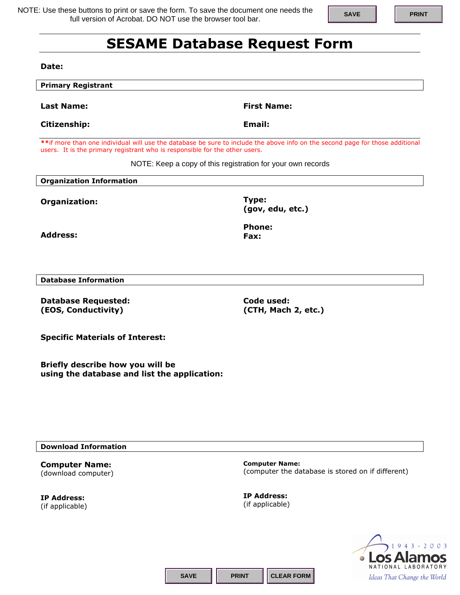NOTE: Use these buttons to print or save the form. To save the document one needs the full version of Acrobat. DO NOT use the browser tool bar.

## **SAVE PRINT**

## **SESAME Database Request Form**

**Date:** 

| <b>Primary Registrant</b>                                                                                                                                                                                     |                                   |  |
|---------------------------------------------------------------------------------------------------------------------------------------------------------------------------------------------------------------|-----------------------------------|--|
| <b>Last Name:</b>                                                                                                                                                                                             | <b>First Name:</b>                |  |
| Citizenship:                                                                                                                                                                                                  | Email:                            |  |
| ** if more than one individual will use the database be sure to include the above info on the second page for those additional<br>users. It is the primary registrant who is responsible for the other users. |                                   |  |
| NOTE: Keep a copy of this registration for your own records                                                                                                                                                   |                                   |  |
| <b>Organization Information</b>                                                                                                                                                                               |                                   |  |
| Organization:                                                                                                                                                                                                 | Type:<br>(gov, edu, etc.)         |  |
| <b>Address:</b>                                                                                                                                                                                               | <b>Phone:</b><br>Fax:             |  |
| <b>Database Information</b>                                                                                                                                                                                   |                                   |  |
|                                                                                                                                                                                                               |                                   |  |
| <b>Database Requested:</b><br>(EOS, Conductivity)                                                                                                                                                             | Code used:<br>(CTH, Mach 2, etc.) |  |
| <b>Specific Materials of Interest:</b>                                                                                                                                                                        |                                   |  |
| Briefly describe how you will be<br>using the database and list the application:                                                                                                                              |                                   |  |

**Download Information** 

**Computer Name:**  (download computer)

**IP Address:**  (if applicable) **Computer Name:**  (computer the database is stored on if different)

**IP Address:**  (if applicable)



**SAVE PRINT CLEAR FORM**